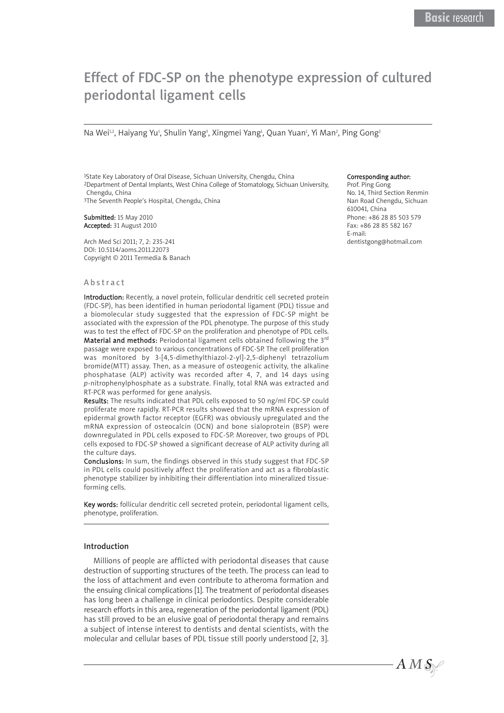# Effect of FDC-SP on the phenotype expression of cultured periodontal ligament cells

Na Wei12, Haiyang Yu1, Shulin Yang3, Xingmei Yang1, Quan Yuan1, Yi Man2, Ping Gong2

1State Key Laboratory of Oral Disease, Sichuan University, Chengdu, China 2Department of Dental Implants, West China College of Stomatology, Sichuan University, Chengdu, China 3The Seventh People's Hospital, Chengdu, China

Submitted: 15 May 2010 Accepted: 31 August 2010

Arch Med Sci 2011; 7, 2: 235-241 DOI: 10.5114/aoms.2011.22073 Copyright © 2011 Termedia & Banach

### Abstract

Introduction: Recently, a novel protein, follicular dendritic cell secreted protein (FDC-SP), has been identified in human periodontal ligament (PDL) tissue and a biomolecular study suggested that the expression of FDC-SP might be associated with the expression of the PDL phenotype. The purpose of this study was to test the effect of FDC-SP on the proliferation and phenotype of PDL cells. Material and methods: Periodontal ligament cells obtained following the 3rd passage were exposed to various concentrations of FDC-SP. The cell proliferation was monitored by 3-[4,5-dimethylthiazol-2-yl]-2,5-diphenyl tetrazolium bromide(MTT) assay. Then, as a measure of osteogenic activity, the alkaline phosphatase (ALP) activity was recorded after 4, 7, and 14 days using *p*-nitrophenylphosphate as a substrate. Finally, total RNA was extracted and RT-PCR was performed for gene analysis.

Results: The results indicated that PDL cells exposed to 50 ng/ml FDC-SP could proliferate more rapidly. RT-PCR results showed that the mRNA expression of epidermal growth factor receptor (EGFR) was obviously upregulated and the mRNA expression of osteocalcin (OCN) and bone sialoprotein (BSP) were downregulated in PDL cells exposed to FDC-SP. Moreover, two groups of PDL cells exposed to FDC-SP showed a significant decrease of ALP activity during all the culture days.

Conclusions: In sum, the findings observed in this study suggest that FDC-SP in PDL cells could positively affect the proliferation and act as a fibroblastic phenotype stabilizer by inhibiting their differentiation into mineralized tissueforming cells.

Key words: follicular dendritic cell secreted protein, periodontal ligament cells, phenotype, proliferation.

#### Introduction

Millions of people are afflicted with periodontal diseases that cause destruction of supporting structures of the teeth. The process can lead to the loss of attachment and even contribute to atheroma formation and the ensuing clinical complications [1]. The treatment of periodontal diseases has long been a challenge in clinical periodontics. Despite considerable research efforts in this area, regeneration of the periodontal ligament (PDL) has still proved to be an elusive goal of periodontal therapy and remains a subject of intense interest to dentists and dental scientists, with the molecular and cellular bases of PDL tissue still poorly understood [2, 3].

#### Corresponding author:

Prof. Ping Gong No. 14, Third Section Renmin Nan Road Chengdu, Sichuan 610041, China Phone: +86 28 85 503 579 Fax: +86 28 85 582 167 E-mail: dentistgong@hotmail.com

 $AMS$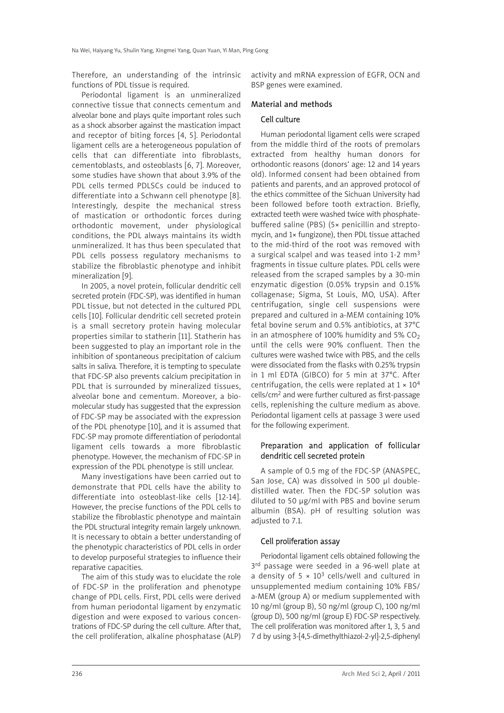Therefore, an understanding of the intrinsic functions of PDL tissue is required.

Periodontal ligament is an unmineralized connective tissue that connects cementum and alveolar bone and plays quite important roles such as a shock absorber against the mastication impact and receptor of biting forces [4, 5]. Periodontal ligament cells are a heterogeneous population of cells that can differentiate into fibroblasts, cementoblasts, and osteoblasts [6, 7]. Moreover, some studies have shown that about 3.9% of the PDL cells termed PDLSCs could be induced to differentiate into a Schwann cell phenotype [8]. Interestingly, despite the mechanical stress of mastication or orthodontic forces during orthodontic movement, under physiological conditions, the PDL always maintains its width unmineralized. It has thus been speculated that PDL cells possess regulatory mechanisms to stabilize the fibroblastic phenotype and inhibit mineralization [9].

In 2005, a novel protein, follicular dendritic cell secreted protein (FDC-SP), was identified in human PDL tissue, but not detected in the cultured PDL cells [10]. Follicular dendritic cell secreted protein is a small secretory protein having molecular properties similar to statherin [11]. Statherin has been suggested to play an important role in the inhibition of spontaneous precipitation of calcium salts in saliva. Therefore, it is tempting to speculate that FDC-SP also prevents calcium precipitation in PDL that is surrounded by mineralized tissues, alveolar bone and cementum. Moreover, a biomolecular study has suggested that the expression of FDC-SP may be associated with the expression of the PDL phenotype [10], and it is assumed that FDC-SP may promote differentiation of periodontal ligament cells towards a more fibroblastic phenotype. However, the mechanism of FDC-SP in expression of the PDL phenotype is still unclear.

Many investigations have been carried out to demonstrate that PDL cells have the ability to differentiate into osteoblast-like cells [12-14]. However, the precise functions of the PDL cells to stabilize the fibroblastic phenotype and maintain the PDL structural integrity remain largely unknown. It is necessary to obtain a better understanding of the phenotypic characteristics of PDL cells in order to develop purposeful strategies to influence their reparative capacities.

The aim of this study was to elucidate the role of FDC-SP in the proliferation and phenotype change of PDL cells. First, PDL cells were derived from human periodontal ligament by enzymatic digestion and were exposed to various concentrations of FDC-SP during the cell culture. After that, the cell proliferation, alkaline phosphatase (ALP) activity and mRNA expression of EGFR, OCN and BSP genes were examined.

## Material and methods

# Cell culture

Human periodontal ligament cells were scraped from the middle third of the roots of premolars extracted from healthy human donors for orthodontic reasons (donors' age: 12 and 14 years old). Informed consent had been obtained from patients and parents, and an approved protocol of the ethics committee of the Sichuan University had been followed before tooth extraction. Briefly, extracted teeth were washed twice with phosphatebuffered saline (PBS) (5× penicillin and strepto mycin, and 1× fungizone), then PDL tissue attached to the mid-third of the root was removed with a surgical scalpel and was teased into 1-2 mm<sup>3</sup> fragments in tissue culture plates. PDL cells were released from the scraped samples by a 30-min enzymatic digestion (0.05% trypsin and 0.15% collagenase; Sigma, St Louis, MO, USA). After centrifugation, single cell suspensions were prepared and cultured in a-MEM containing 10% fetal bovine serum and 0.5% antibiotics, at 37°C in an atmosphere of 100% humidity and 5%  $CO<sub>2</sub>$ until the cells were 90% confluent. Then the cultures were washed twice with PBS, and the cells were dissociated from the flasks with 0.25% trypsin in 1 ml EDTA (GIBCO) for 5 min at 37°C. After centrifugation, the cells were replated at  $1 \times 10^4$ cells/cm2 and were further cultured as first-passage cells, replenishing the culture medium as above. Periodontal ligament cells at passage 3 were used for the following experiment.

# Preparation and application of follicular dendritic cell secreted protein

A sample of 0.5 mg of the FDC-SP (ANASPEC, San Jose, CA) was dissolved in 500 μl doubledistilled water. Then the FDC-SP solution was diluted to 50 μg/ml with PBS and bovine serum albumin (BSA). pH of resulting solution was adjusted to 7.1.

# Cell proliferation assay

Periodontal ligament cells obtained following the 3<sup>rd</sup> passage were seeded in a 96-well plate at a density of  $5 \times 10^3$  cells/well and cultured in unsupplemented medium containing 10% FBS/ a-MEM (group A) or medium supplemented with 10 ng/ml (group B), 50 ng/ml (group C), 100 ng/ml (group D), 500 ng/ml (group E) FDC-SP respectively. The cell proliferation was monitored after 1, 3, 5 and 7 d by using 3-[4,5-dimethylthiazol-2-yl]-2,5-diphenyl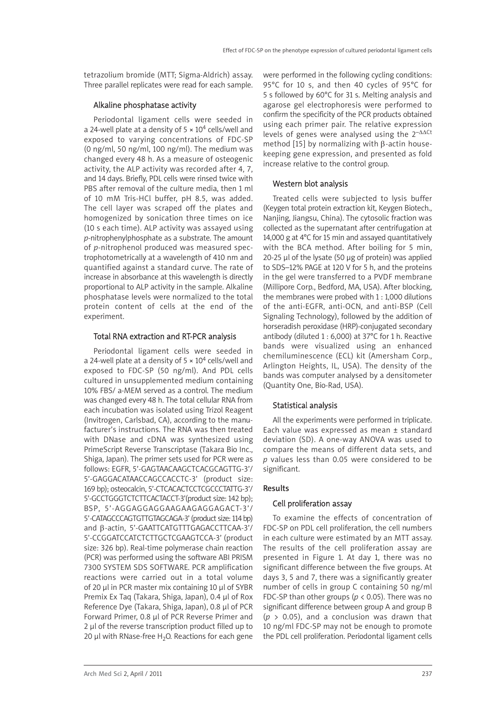tetrazolium bromide (MTT; Sigma-Aldrich) assay. Three parallel replicates were read for each sample.

# Alkaline phosphatase activity

Periodontal ligament cells were seeded in a 24-well plate at a density of  $5 \times 10^4$  cells/well and exposed to varying concentrations of FDC-SP (0 ng/ml, 50 ng/ml, 100 ng/ml). The medium was changed every 48 h. As a measure of osteogenic activity, the ALP activity was recorded after 4, 7, and 14 days. Briefly, PDL cells were rinsed twice with PBS after removal of the culture media, then 1 ml of 10 mM Tris-HCl buffer, pH 8.5, was added. The cell layer was scraped off the plates and homogenized by sonication three times on ice (10 s each time). ALP activity was assayed using *p*-nitrophenylphosphate as a substrate. The amount of *p*-nitrophenol produced was measured spec trophotometrically at a wavelength of 410 nm and quantified against a standard curve. The rate of increase in absorbance at this wavelength is directly proportional to ALP activity in the sample. Alkaline phosphatase levels were normalized to the total protein content of cells at the end of the experiment.

# Total RNA extraction and RT-PCR analysis

Periodontal ligament cells were seeded in a 24-well plate at a density of  $5 \times 10^4$  cells/well and exposed to FDC-SP (50 ng/ml). And PDL cells cultured in unsupplemented medium containing 10% FBS/ a-MEM served as a control. The medium was changed every 48 h. The total cellular RNA from each incubation was isolated using Trizol Reagent (Invitrogen, Carlsbad, CA), according to the manufacturer's instructions. The RNA was then treated with DNase and cDNA was synthesized using PrimeScript Reverse Transcriptase (Takara Bio Inc., Shiga, Japan). The primer sets used for PCR were as follows: EGFR, 5'-GAGTAACAAGCTCACGCAGTTG-3'/ 5'-GAGGACATAACCAGCCACCTC-3' (product size: 169 bp); osteocalcin, 5'-CTCACACTCCTCGCCCTATTG-3'/ 5'-GCCTGGGTCTCTTCACTACCT-3'(product size: 142 bp); BSP, 5'-AGGAGGAGGAAGAAGAGGAGACT-3'/ 5'-CATAGCCCAGTGTTGTAGCAGA-3' (product size: 114 bp) and β-actin, 5'-GAATTCATGTTTGAGACCTTCAA-3'/ 5'-CCGGATCCATCTCTTGCTCGAAGTCCA-3' (product size: 326 bp). Real-time polymerase chain reaction (PCR) was performed using the software ABI PRISM 7300 SYSTEM SDS SOFTWARE. PCR amplification reactions were carried out in a total volume of 20 μl in PCR master mix containing 10 μl of SYBR Premix Ex Taq (Takara, Shiga, Japan), 0.4 μl of Rox Reference Dye (Takara, Shiga, Japan), 0.8 μl of PCR Forward Primer, 0.8 μl of PCR Reverse Primer and 2 μl of the reverse transcription product filled up to 20 μl with RNase-free  $H_2O$ . Reactions for each gene

were performed in the following cycling conditions: 95°C for 10 s, and then 40 cycles of 95°C for 5 s followed by 60°C for 31 s. Melting analysis and agarose gel electrophoresis were performed to confirm the specificity of the PCR products obtained using each primer pair. The relative expression levels of genes were analysed using the 2–ΔΔCt method [15] by normalizing with β-actin housekeeping gene expression, and presented as fold increase relative to the control group.

# Western blot analysis

Treated cells were subjected to lysis buffer (Keygen total protein extraction kit, Keygen Biotech., Nanjing, Jiangsu, China). The cytosolic fraction was collected as the supernatant after centrifugation at 14,000 g at 4°C for 15 min and assayed quantitatively with the BCA method. After boiling for 5 min, 20-25 μl of the lysate (50 μg of protein) was applied to SDS–12% PAGE at 120 V for 5 h, and the proteins in the gel were transferred to a PVDF membrane (Millipore Corp., Bedford, MA, USA). After blocking, the membranes were probed with 1 : 1,000 dilutions of the anti-EGFR, anti-OCN, and anti-BSP (Cell Signaling Technology), followed by the addition of horseradish peroxidase (HRP)-conjugated secondary antibody (diluted 1 : 6,000) at 37°C for 1 h. Reactive bands were visualized using an enhanced chemiluminescence (ECL) kit (Amersham Corp., Arlington Heights, IL, USA). The density of the bands was computer analysed by a densitometer (Quantity One, Bio-Rad, USA).

# Statistical analysis

All the experiments were performed in triplicate. Each value was expressed as mean ± standard deviation (SD). A one-way ANOVA was used to compare the means of different data sets, and *p* values less than 0.05 were considered to be significant.

# Results

# Cell proliferation assay

To examine the effects of concentration of FDC-SP on PDL cell proliferation, the cell numbers in each culture were estimated by an MTT assay. The results of the cell proliferation assay are presented in Figure 1. At day 1, there was no significant difference between the five groups. At days 3, 5 and 7, there was a significantly greater number of cells in group C containing 50 ng/ml FDC-SP than other groups (*p* < 0.05). There was no significant difference between group A and group B  $(p > 0.05)$ , and a conclusion was drawn that 10 ng/ml FDC-SP may not be enough to promote the PDL cell proliferation. Periodontal ligament cells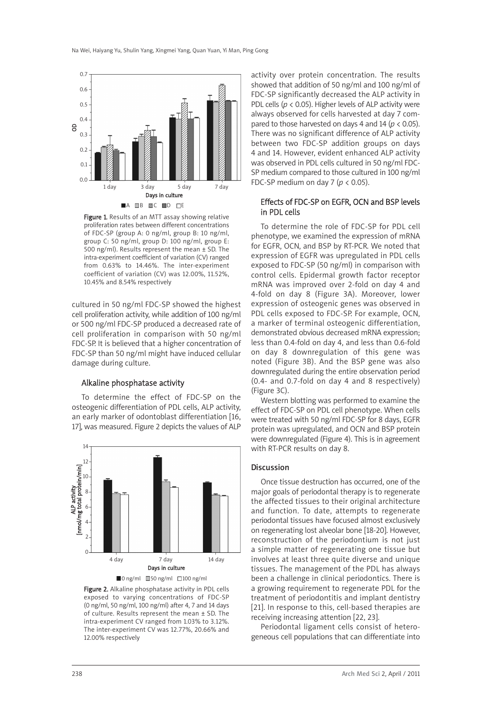

Figure 1. Results of an MTT assay showing relative proliferation rates between different concentrations of FDC-SP (group A: 0 ng/ml, group B: 10 ng/ml, group C: 50 ng/ml, group D: 100 ng/ml, group E: 500 ng/ml). Results represent the mean  $\pm$  SD. The intra-experiment coefficient of variation (CV) ranged from 0.63% to 14.46%. The inter-experiment coefficient of variation (CV) was 12.00%, 11.52%, 10.45% and 8.54% respectively

cultured in 50 ng/ml FDC-SP showed the highest cell proliferation activity, while addition of 100 ng/ml or 500 ng/ml FDC-SP produced a decreased rate of cell proliferation in comparison with 50 ng/ml FDC-SP. It is believed that a higher concentration of FDC-SP than 50 ng/ml might have induced cellular damage during culture.

# Alkaline phosphatase activity

To determine the effect of FDC-SP on the osteogenic differentiation of PDL cells, ALP activity, an early marker of odontoblast differentiation [16, 17], was measured. Figure 2 depicts the values of ALP





Figure 2. Alkaline phosphatase activity in PDL cells exposed to varying concentrations of FDC-SP (0 ng/ml, 50 ng/ml, 100 ng/ml) after 4, 7 and 14 days of culture. Results represent the mean ± SD. The intra-experiment CV ranged from 1.03% to 3.12%. The inter-experiment CV was 12.77%, 20.66% and 12.00% respectively

activity over protein concentration. The results showed that addition of 50 ng/ml and 100 ng/ml of FDC-SP significantly decreased the ALP activity in PDL cells (*p* < 0.05). Higher levels of ALP activity were always observed for cells harvested at day 7 com pared to those harvested on days 4 and 14 ( $p < 0.05$ ). There was no significant difference of ALP activity between two FDC-SP addition groups on days 4 and 14. However, evident enhanced ALP activity was observed in PDL cells cultured in 50 ng/ml FDC-SP medium compared to those cultured in 100 ng/ml FDC-SP medium on day 7 (*p* < 0.05).

# Effects of FDC-SP on EGFR, OCN and BSP levels in PDL cells

To determine the role of FDC-SP for PDL cell phenotype, we examined the expression of mRNA for EGFR, OCN, and BSP by RT-PCR. We noted that expression of EGFR was upregulated in PDL cells exposed to FDC-SP (50 ng/ml) in comparison with control cells. Epidermal growth factor receptor mRNA was improved over 2-fold on day 4 and 4-fold on day 8 (Figure 3A). Moreover, lower expression of osteogenic genes was observed in PDL cells exposed to FDC-SP. For example, OCN, a marker of terminal osteogenic differentiation, demonstrated obvious decreased mRNA expression; less than 0.4-fold on day 4, and less than 0.6-fold on day 8 downregulation of this gene was noted (Figure 3B). And the BSP gene was also downregulated during the entire observation period (0.4- and 0.7-fold on day 4 and 8 respectively) (Figure 3C).

Western blotting was performed to examine the effect of FDC-SP on PDL cell phenotype. When cells were treated with 50 ng/ml FDC-SP for 8 days, EGFR protein was upregulated, and OCN and BSP protein were downregulated (Figure 4). This is in agreement with RT-PCR results on day 8.

# Discussion

Once tissue destruction has occurred, one of the major goals of periodontal therapy is to regenerate the affected tissues to their original architecture and function. To date, attempts to regenerate periodontal tissues have focused almost exclusively on regenerating lost alveolar bone [18-20]. However, reconstruction of the periodontium is not just a simple matter of regenerating one tissue but involves at least three quite diverse and unique tissues. The management of the PDL has always been a challenge in clinical periodontics. There is a growing requirement to regenerate PDL for the treatment of periodontitis and implant dentistry [21]. In response to this, cell-based therapies are receiving increasing attention [22, 23].

Periodontal ligament cells consist of heterogeneous cell populations that can differentiate into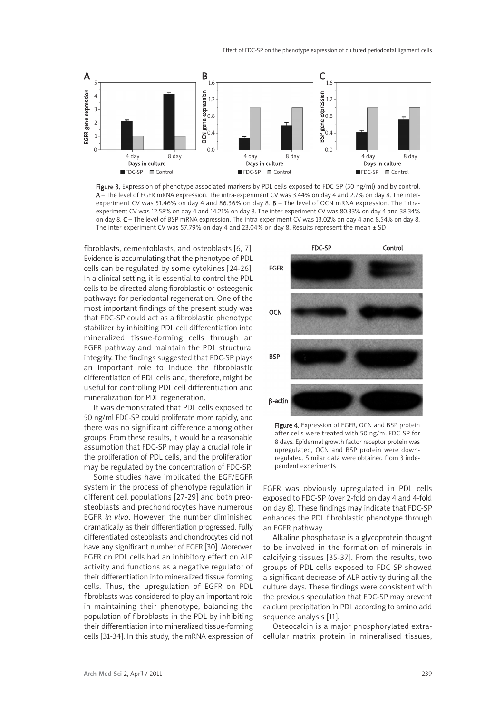

Figure 3. Expression of phenotype associated markers by PDL cells exposed to FDC-SP (50 ng/ml) and by control. A – The level of EGFR mRNA expression. The intra-experiment CV was 3.44% on day 4 and 2.7% on day 8. The interexperiment CV was 51.46% on day 4 and 86.36% on day 8. **B** – The level of OCN mRNA expression. The intraexperiment CV was 12.58% on day 4 and 14.21% on day 8. The inter-experiment CV was 80.33% on day 4 and 38.34% on day 8. C – The level of BSP mRNA expression. The intra-experiment CV was 13.02% on day 4 and 8.54% on day 8. The inter-experiment CV was 57.79% on day 4 and 23.04% on day 8. Results represent the mean ± SD

fibroblasts, cementoblasts, and osteoblasts [6, 7]. Evidence is accumulating that the phenotype of PDL cells can be regulated by some cytokines [24-26]. In a clinical setting, it is essential to control the PDL cells to be directed along fibroblastic or osteogenic pathways for periodontal regeneration. One of the most important findings of the present study was that FDC-SP could act as a fibroblastic phenotype stabilizer by inhibiting PDL cell differentiation into mineralized tissue-forming cells through an EGFR pathway and maintain the PDL structural integrity. The findings suggested that FDC-SP plays an important role to induce the fibroblastic differentiation of PDL cells and, therefore, might be useful for controlling PDL cell differentiation and mineralization for PDL regeneration.

It was demonstrated that PDL cells exposed to 50 ng/ml FDC-SP could proliferate more rapidly, and there was no significant difference among other groups. From these results, it would be a reasonable assumption that FDC-SP may play a crucial role in the proliferation of PDL cells, and the proliferation may be regulated by the concentration of FDC-SP.

Some studies have implicated the EGF/EGFR system in the process of phenotype regulation in different cell populations [27-29] and both preosteoblasts and prechondrocytes have numerous EGFR *in vivo*. However, the number diminished dramatically as their differentiation progressed. Fully differentiated osteoblasts and chondrocytes did not have any significant number of EGFR [30]. Moreover, EGFR on PDL cells had an inhibitory effect on ALP activity and functions as a negative regulator of their differentiation into mineralized tissue forming cells. Thus, the upregulation of EGFR on PDL fibroblasts was considered to play an important role in maintaining their phenotype, balancing the population of fibroblasts in the PDL by inhibiting their differentiation into mineralized tissue-forming cells [31-34]. In this study, the mRNA expression of



Figure 4. Expression of EGFR, OCN and BSP protein after cells were treated with 50 ng/ml FDC-SP for 8 days. Epidermal growth factor receptor protein was upregulated, OCN and BSP protein were downregulated. Similar data were obtained from 3 independent experiments

EGFR was obviously upregulated in PDL cells exposed to FDC-SP (over 2-fold on day 4 and 4-fold on day 8). These findings may indicate that FDC-SP enhances the PDL fibroblastic phenotype through an EGFR pathway.

Alkaline phosphatase is a glycoprotein thought to be involved in the formation of minerals in calcifying tissues [35-37]. From the results, two groups of PDL cells exposed to FDC-SP showed a significant decrease of ALP activity during all the culture days. These findings were consistent with the previous speculation that FDC-SP may prevent calcium precipitation in PDL according to amino acid sequence analysis [11].

Osteocalcin is a major phosphorylated extracellular matrix protein in mineralised tissues,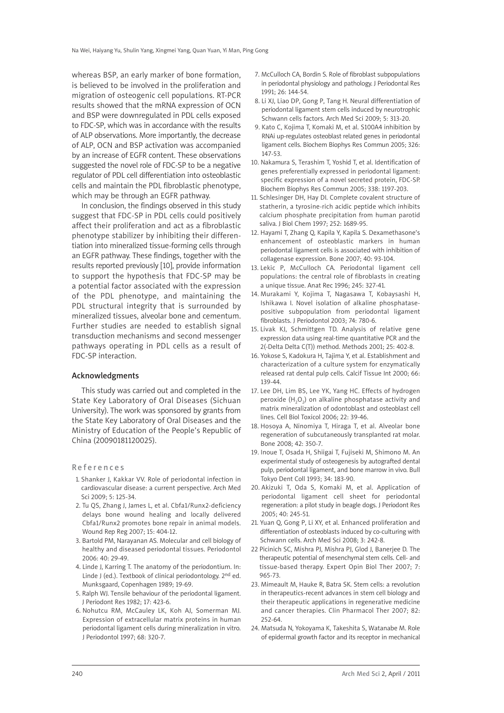whereas BSP, an early marker of bone formation, is believed to be involved in the proliferation and migration of osteogenic cell populations. RT-PCR results showed that the mRNA expression of OCN and BSP were downregulated in PDL cells exposed to FDC-SP, which was in accordance with the results of ALP observations. More importantly, the decrease of ALP, OCN and BSP activation was accompanied by an increase of EGFR content. These observations suggested the novel role of FDC-SP to be a negative regulator of PDL cell differentiation into osteoblastic cells and maintain the PDL fibroblastic phenotype, which may be through an EGFR pathway.

In conclusion, the findings observed in this study suggest that FDC-SP in PDL cells could positively affect their proliferation and act as a fibroblastic phenotype stabilizer by inhibiting their differentiation into mineralized tissue-forming cells through an EGFR pathway. These findings, together with the results reported previously [10], provide information to support the hypothesis that FDC-SP may be a potential factor associated with the expression of the PDL phenotype, and maintaining the PDL structural integrity that is surrounded by mineralized tissues, alveolar bone and cementum. Further studies are needed to establish signal transduction mechanisms and second messenger pathways operating in PDL cells as a result of FDC-SP interaction.

### Acknowledgments

This study was carried out and completed in the State Key Laboratory of Oral Diseases (Sichuan University). The work was sponsored by grants from the State Key Laboratory of Oral Diseases and the Ministry of Education of the People's Republic of China (20090181120025).

#### References

- 1. Shanker J, Kakkar VV. Role of periodontal infection in cardiovascular disease: a current perspective. Arch Med Sci 2009; 5: 125-34.
- 2. Tu QS, Zhang J, James L, et al. Cbfa1/Runx2-deficiency delays bone wound healing and locally delivered Cbfa1/Runx2 promotes bone repair in animal models. Wound Rep Reg 2007; 15: 404-12.
- 3. Bartold PM, Narayanan AS. Molecular and cell biology of healthy and diseased periodontal tissues. Periodontol 2006: 40: 29-49.
- 4. Linde J, Karring T. The anatomy of the periodontium. In: Linde J (ed.). Textbook of clinical periodontology. 2<sup>nd</sup> ed. Munksgaard, Copenhagen 1989; 19-69.
- 5. Ralph WJ. Tensile behaviour of the periodontal ligament. J Periodont Res 1982; 17: 423-6.
- 6. Nohutcu RM, McCauley LK, Koh AJ, Somerman MJ. Expression of extracellular matrix proteins in human periodontal ligament cells during mineralization in vitro. J Periodontol 1997; 68: 320-7.
- 7. McCulloch CA, Bordin S. Role of fibroblast subpopulations in periodontal physiology and pathology. J Periodontal Res 1991; 26: 144-54.
- 8. Li XJ, Liao DP, Gong P, Tang H. Neural differentiation of periodontal ligament stem cells induced by neurotrophic Schwann cells factors. Arch Med Sci 2009; 5: 313-20.
- 9. Kato C, Kojima T, Komaki M, et al. S100A4 inhibition by RNAi up-regulates osteoblast related genes in periodontal ligament cells. Biochem Biophys Res Commun 2005; 326: 147-53.
- 10. Nakamura S, Terashim T, Yoshid T, et al. Identification of genes preferentially expressed in periodontal ligament: specific expression of a novel secreted protein, FDC-SP. Biochem Biophys Res Commun 2005; 338: 1197-203.
- 11. Schlesinger DH, Hay DI. Complete covalent structure of statherin, a tyrosine-rich acidic peptide which inhibits calcium phosphate precipitation from human parotid saliva. J Biol Chem 1997; 252: 1689-95.
- 12. Hayami T, Zhang Q, Kapila Y, Kapila S. Dexamethasone's enhancement of osteoblastic markers in human periodontal ligament cells is associated with inhibition of collagenase expression. Bone 2007; 40: 93-104.
- 13. Lekic P, McCulloch CA. Periodontal ligament cell populations: the central role of fibroblasts in creating a unique tissue. Anat Rec 1996; 245: 327-41.
- 14. Murakami Y, Kojima T, Nagasawa T, Kobaysashi H, Ishikawa I. Novel isolation of alkaline phosphatasepositive subpopulation from periodontal ligament fibroblasts. J Periodontol 2003; 74: 780-6.
- 15. Livak KJ, Schmittgen TD. Analysis of relative gene expression data using real-time quantitative PCR and the 2(-Delta Delta C(T)) method. Methods 2001; 25: 402-8.
- 16. Yokose S, Kadokura H, Tajima Y, et al. Establishment and characterization of a culture system for enzymatically released rat dental pulp cells. Calcif Tissue Int 2000; 66: 139-44.
- 17. Lee DH, Lim BS, Lee YK, Yang HC. Effects of hydrogen peroxide  $(H_2O_2)$  on alkaline phosphatase activity and matrix mineralization of odontoblast and osteoblast cell lines. Cell Biol Toxicol 2006; 22: 39-46.
- 18. Hosoya A, Ninomiya T, Hiraga T, et al. Alveolar bone regeneration of subcutaneously transplanted rat molar. Bone 2008; 42: 350-7.
- 19. Inoue T, Osada H, Shiigai T, Fujiseki M, Shimono M. An experimental study of osteogenesis by autografted dental pulp, periodontal ligament, and bone marrow in vivo. Bull Tokyo Dent Coll 1993; 34: 183-90.
- 20. Akizuki T, Oda S, Komaki M, et al. Application of periodontal ligament cell sheet for periodontal regeneration: a pilot study in beagle dogs. J Periodont Res 2005; 40: 245-51.
- 21. Yuan Q, Gong P, Li XY, et al. Enhanced proliferation and differentiation of osteoblasts induced by co-culturing with Schwann cells. Arch Med Sci 2008; 3: 242-8.
- 22 Picinich SC, Mishra PJ, Mishra PJ, Glod J, Banerjee D. The therapeutic potential of mesenchymal stem cells. Cell- and tissue-based therapy. Expert Opin Biol Ther 2007; 7: 965-73.
- 23. Mimeault M, Hauke R, Batra SK. Stem cells: a revolution in therapeutics-recent advances in stem cell biology and their therapeutic applications in regenerative medicine and cancer therapies. Clin Pharmacol Ther 2007; 82: 252-64.
- 24. Matsuda N, Yokoyama K, Takeshita S, Watanabe M. Role of epidermal growth factor and its receptor in mechanical